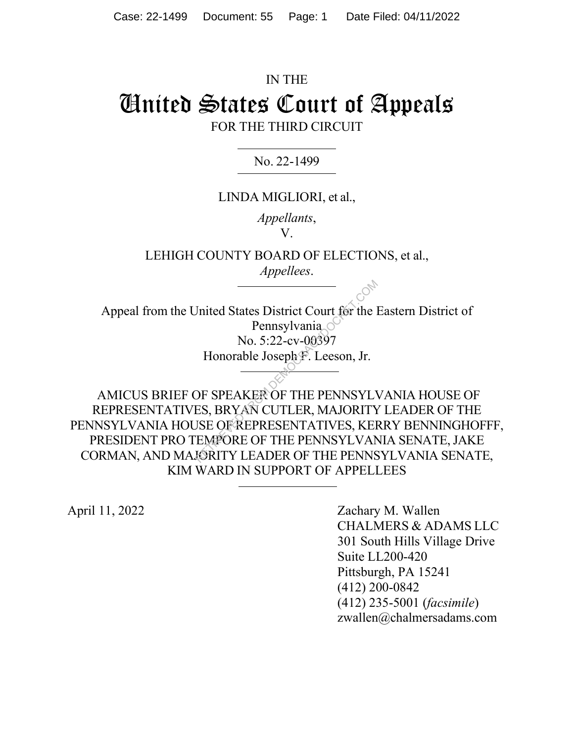# IN THE United States Court of Appeals FOR THE THIRD CIRCUIT

No. 22-1499

## LINDA MIGLIORI, et al.,

*Appellants*, V.

LEHIGH COUNTY BOARD OF ELECTIONS, et al., *Appellees*.

Appeal from the United States District Court for the Eastern District of Pennsylvania No. 5:22-cv-00397 Honorable Joseph F. Leeson, Jr.

 AMICUS BRIEF OF SPEAKER OF THE PENNSYLVANIA HOUSE OF REPRESENTATIVES, BRYAN CUTLER, MAJORITY LEADER OF THE PENNSYLVANIA HOUSE OF REPRESENTATIVES, KERRY BENNINGHOFFF, PRESIDENT PRO TEMPORE OF THE PENNSYLVANIA SENATE, JAKE CORMAN, AND MAJORITY LEADER OF THE PENNSYLVANIA SENATE, KIM WARD IN SUPPORT OF APPELLEES Jnited States District Court for the Pennsylvania<br>No. 5:22-cv-00397<br>Honorable Joseph F. Leeson, Jr.<br>DF SPEAKER OF THE PENNSYLV<br>SE OF REPRESENTATIVES, KEI<br>EMPORE OF THE PENNSYLVAN<br>MORITY LEADER OF THE PENNS

April 11, 2022 Zachary M. Wallen CHALMERS & ADAMS LLC 301 South Hills Village Drive Suite LL200-420 Pittsburgh, PA 15241 (412) 200-0842 (412) 235-5001 (*facsimile*) zwallen@chalmersadams.com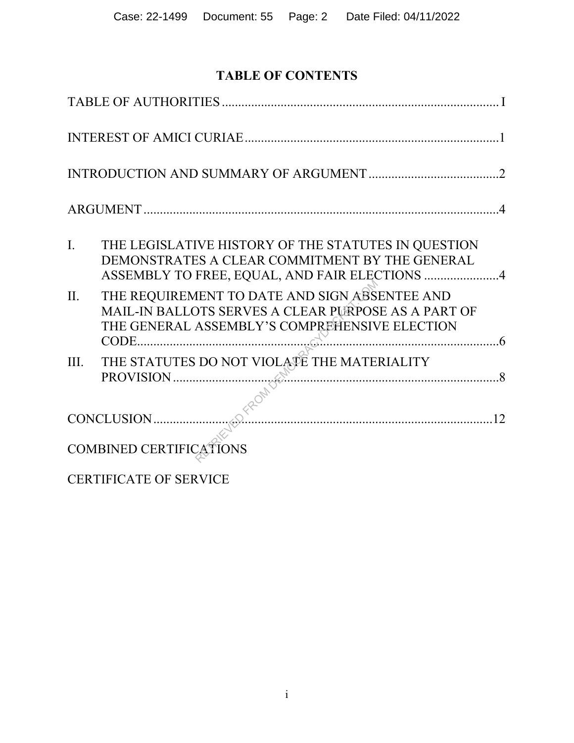# **TABLE OF CONTENTS**

| $\overline{I}$ . | THE LEGISLATIVE HISTORY OF THE STATUTES IN QUESTION<br>DEMONSTRATES A CLEAR COMMITMENT BY THE GENERAL<br>ASSEMBLY TO FREE, EQUAL, AND FAIR ELECTIONS 4 |
|------------------|--------------------------------------------------------------------------------------------------------------------------------------------------------|
| II.              | THE REQUIREMENT TO DATE AND SIGN ABSENTEE AND<br>MAIL-IN BALLOTS SERVES A CLEAR PURPOSE AS A PART OF<br>THE GENERAL ASSEMBLY'S COMPREHENSIVE ELECTION  |
| III.             | THE STATUTES DO NOT VIOLATE THE MATERIALITY<br>PROVISION $\frac{1}{2}$                                                                                 |
|                  | CONCLUSION                                                                                                                                             |
|                  | <b>COMBINED CERTIFICATIONS</b>                                                                                                                         |
|                  | <b>CERTIFICATE OF SERVICE</b>                                                                                                                          |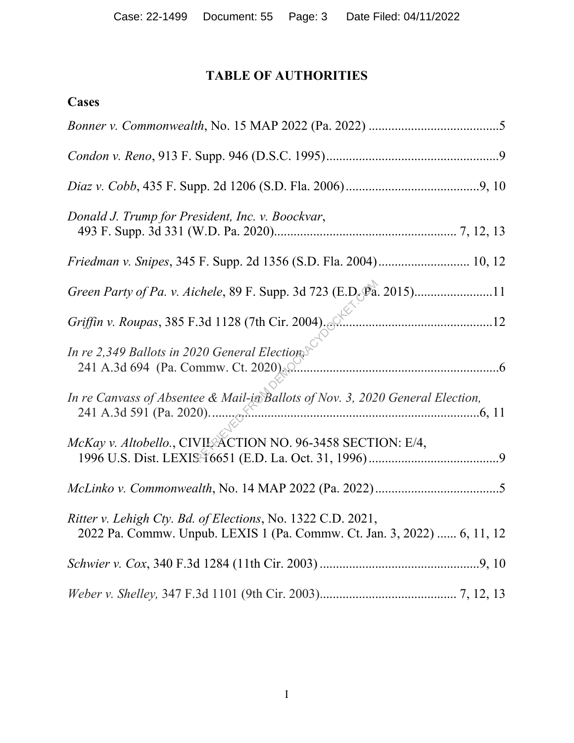# **TABLE OF AUTHORITIES**

| <b>Cases</b>                                                                                                                           |
|----------------------------------------------------------------------------------------------------------------------------------------|
|                                                                                                                                        |
|                                                                                                                                        |
|                                                                                                                                        |
| Donald J. Trump for President, Inc. v. Boockvar,                                                                                       |
|                                                                                                                                        |
| Green Party of Pa. v. Aichele, 89 F. Supp. 3d 723 (E.D. Pa. 2015)11                                                                    |
| Griffin v. Roupas, 385 F.3d 1128 (7th Cir. 2004).                                                                                      |
| In re 2,349 Ballots in 2020 General Elections<br>241 A.3d 694 (Pa. Commw. Ct. 2020)                                                    |
| In re Canvass of Absentee & Mail-in Ballots of Nov. 3, 2020 General Election,                                                          |
| McKay v. Altobello., CIVII. ACTION NO. 96-3458 SECTION: E/4,                                                                           |
|                                                                                                                                        |
| Ritter v. Lehigh Cty. Bd. of Elections, No. 1322 C.D. 2021,<br>2022 Pa. Commw. Unpub. LEXIS 1 (Pa. Commw. Ct. Jan. 3, 2022)  6, 11, 12 |
|                                                                                                                                        |
|                                                                                                                                        |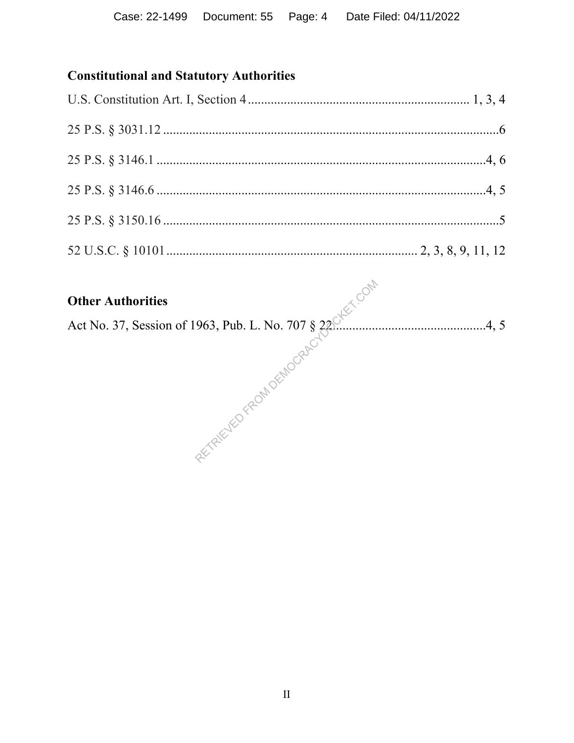# **Constitutional and Statutory Authorities**

Let No. 37, Session of 1963, Pub. L. No. 707 § 23. 2. 2. 2. 2. 2. 2. 2. 4. 4. 5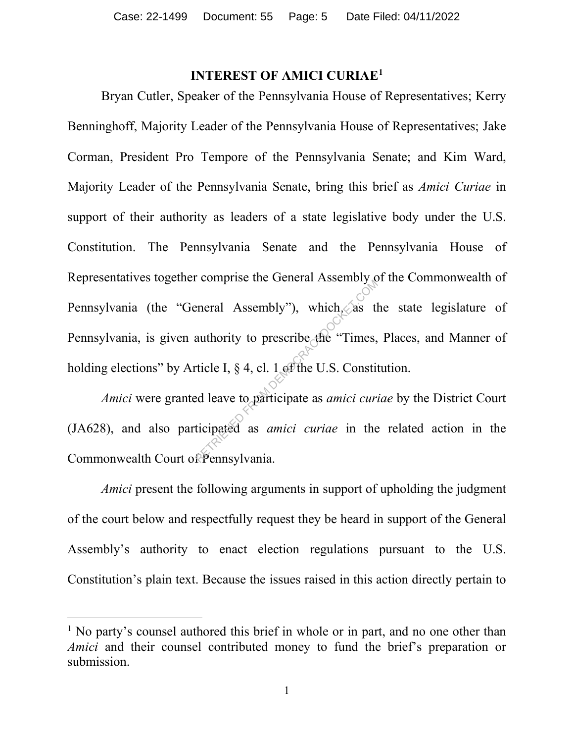#### **INTEREST OF AMICI CURIAE1**

Bryan Cutler, Speaker of the Pennsylvania House of Representatives; Kerry Benninghoff, Majority Leader of the Pennsylvania House of Representatives; Jake Corman, President Pro Tempore of the Pennsylvania Senate; and Kim Ward, Majority Leader of the Pennsylvania Senate, bring this brief as *Amici Curiae* in support of their authority as leaders of a state legislative body under the U.S. Constitution. The Pennsylvania Senate and the Pennsylvania House of Representatives together comprise the General Assembly of the Commonwealth of Pennsylvania (the "General Assembly"), which, as the state legislature of Pennsylvania, is given authority to prescribe the "Times, Places, and Manner of holding elections" by Article I, § 4, cl. 1 of the U.S. Constitution. eneral Assembly"), which, as the authority to prescribe the "Times,<br>ticle I, § 4, cl. 1 of the U.S. Constituted leave to participate as *amici cura*<br>ticipated as *amici curiae* in the

*Amici* were granted leave to participate as *amici curiae* by the District Court (JA628), and also participated as *amici curiae* in the related action in the Commonwealth Court of Pennsylvania.

*Amici* present the following arguments in support of upholding the judgment of the court below and respectfully request they be heard in support of the General Assembly's authority to enact election regulations pursuant to the U.S. Constitution's plain text. Because the issues raised in this action directly pertain to

<sup>&</sup>lt;sup>1</sup> No party's counsel authored this brief in whole or in part, and no one other than *Amici* and their counsel contributed money to fund the brief's preparation or submission.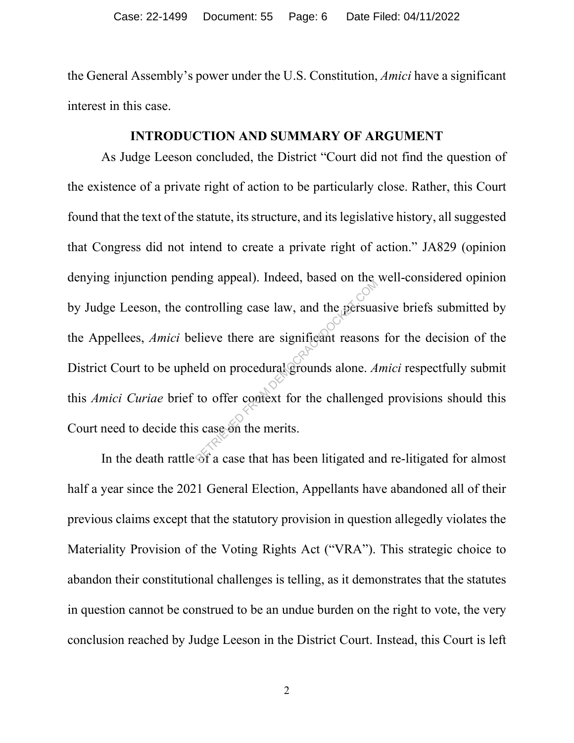the General Assembly's power under the U.S. Constitution, *Amici* have a significant interest in this case.

#### **INTRODUCTION AND SUMMARY OF ARGUMENT**

As Judge Leeson concluded, the District "Court did not find the question of the existence of a private right of action to be particularly close. Rather, this Court found that the text of the statute, its structure, and its legislative history, all suggested that Congress did not intend to create a private right of action." JA829 (opinion denying injunction pending appeal). Indeed, based on the well-considered opinion by Judge Leeson, the controlling case law, and the persuasive briefs submitted by the Appellees, *Amici* believe there are significant reasons for the decision of the District Court to be upheld on procedural grounds alone. *Amici* respectfully submit this *Amici Curiae* brief to offer context for the challenged provisions should this Court need to decide this case on the merits. Imag appear). Indeed, based on the<br>persual photon and the persual<br>elieve there are significant reasons<br>eld on procedural grounds alone. A<br>to offer context for the challenges<br>s case on the merits.

In the death rattle of a case that has been litigated and re-litigated for almost half a year since the 2021 General Election, Appellants have abandoned all of their previous claims except that the statutory provision in question allegedly violates the Materiality Provision of the Voting Rights Act ("VRA"). This strategic choice to abandon their constitutional challenges is telling, as it demonstrates that the statutes in question cannot be construed to be an undue burden on the right to vote, the very conclusion reached by Judge Leeson in the District Court. Instead, this Court is left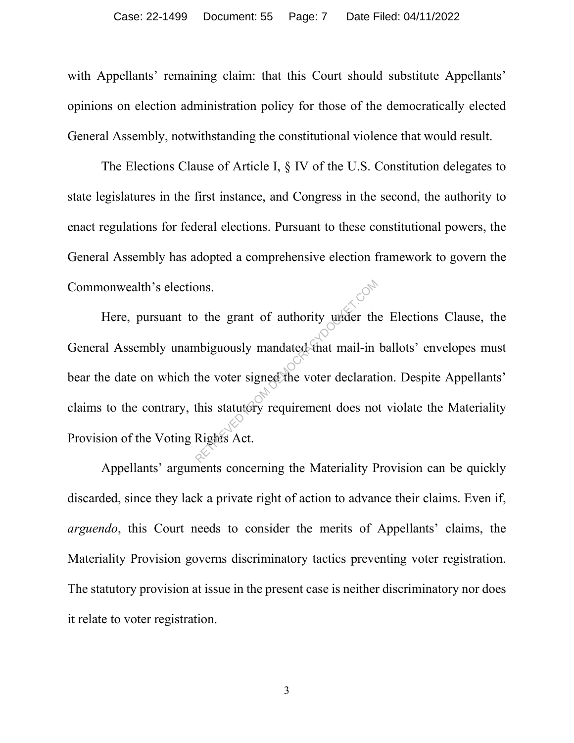with Appellants' remaining claim: that this Court should substitute Appellants' opinions on election administration policy for those of the democratically elected General Assembly, notwithstanding the constitutional violence that would result.

The Elections Clause of Article I, § IV of the U.S. Constitution delegates to state legislatures in the first instance, and Congress in the second, the authority to enact regulations for federal elections. Pursuant to these constitutional powers, the General Assembly has adopted a comprehensive election framework to govern the Commonwealth's elections.

Here, pursuant to the grant of authority under the Elections Clause, the General Assembly unambiguously mandated that mail-in ballots' envelopes must bear the date on which the voter signed the voter declaration. Despite Appellants' claims to the contrary, this statutory requirement does not violate the Materiality Provision of the Voting Rights Act. The grant of authority under the updated flat mail-in the voter signed the voter declarations this statutory requirement does no

Appellants' arguments concerning the Materiality Provision can be quickly discarded, since they lack a private right of action to advance their claims. Even if, *arguendo*, this Court needs to consider the merits of Appellants' claims, the Materiality Provision governs discriminatory tactics preventing voter registration. The statutory provision at issue in the present case is neither discriminatory nor does it relate to voter registration.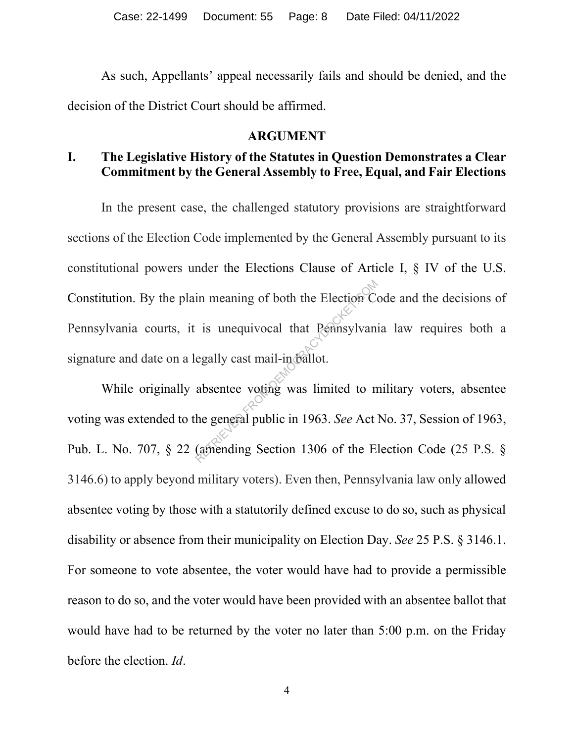As such, Appellants' appeal necessarily fails and should be denied, and the decision of the District Court should be affirmed.

#### **ARGUMENT**

# **I. The Legislative History of the Statutes in Question Demonstrates a Clear Commitment by the General Assembly to Free, Equal, and Fair Elections**

In the present case, the challenged statutory provisions are straightforward sections of the Election Code implemented by the General Assembly pursuant to its constitutional powers under the Elections Clause of Article I, § IV of the U.S. Constitution. By the plain meaning of both the Election Code and the decisions of Pennsylvania courts, it is unequivocal that Pennsylvania law requires both a signature and date on a legally cast mail-in ballot. in meaning of both the Election Comparent is unequivocal that Pennsylvan egally cast mail-indefinited.<br>egally cast mail-indefinited to m absentee voting was limited to m he general public in 1963. See Act (amending Section

While originally absentee voting was limited to military voters, absentee voting was extended to the general public in 1963. *See* Act No. 37, Session of 1963, Pub. L. No. 707, § 22 (amending Section 1306 of the Election Code (25 P.S. § 3146.6) to apply beyond military voters). Even then, Pennsylvania law only allowed absentee voting by those with a statutorily defined excuse to do so, such as physical disability or absence from their municipality on Election Day. *See* 25 P.S. § 3146.1. For someone to vote absentee, the voter would have had to provide a permissible reason to do so, and the voter would have been provided with an absentee ballot that would have had to be returned by the voter no later than 5:00 p.m. on the Friday before the election. *Id*.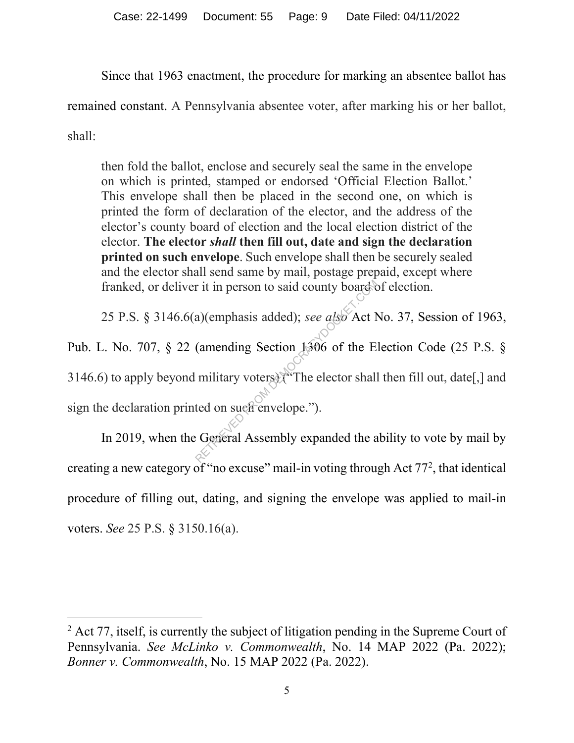Since that 1963 enactment, the procedure for marking an absentee ballot has

remained constant. A Pennsylvania absentee voter, after marking his or her ballot,

shall:

then fold the ballot, enclose and securely seal the same in the envelope on which is printed, stamped or endorsed 'Official Election Ballot.' This envelope shall then be placed in the second one, on which is printed the form of declaration of the elector, and the address of the elector's county board of election and the local election district of the elector. **The elector** *shall* **then fill out, date and sign the declaration printed on such envelope**. Such envelope shall then be securely sealed and the elector shall send same by mail, postage prepaid, except where franked, or deliver it in person to said county board of election.

25 P.S. § 3146.6(a)(emphasis added); *see also* Act No. 37, Session of 1963,

Pub. L. No. 707, § 22 (amending Section 1306 of the Election Code (25 P.S. § 3146.6) to apply beyond military voters) ("The elector shall then fill out, date[,] and sign the declaration printed on such envelope."). r it in person to said county board a)(emphasis added); see also Act 1<br>(amending Section 1306 of the E<br>military voters).<br>The elector shall<br>ted on such envelope.").<br>Conternal Assembly expanded the a

In 2019, when the General Assembly expanded the ability to vote by mail by creating a new category of "no excuse" mail-in voting through Act 77<sup>2</sup>, that identical procedure of filling out, dating, and signing the envelope was applied to mail-in voters. *See* 25 P.S. § 3150.16(a).

 $2$  Act 77, itself, is currently the subject of litigation pending in the Supreme Court of Pennsylvania. *See McLinko v. Commonwealth*, No. 14 MAP 2022 (Pa. 2022); *Bonner v. Commonwealth*, No. 15 MAP 2022 (Pa. 2022).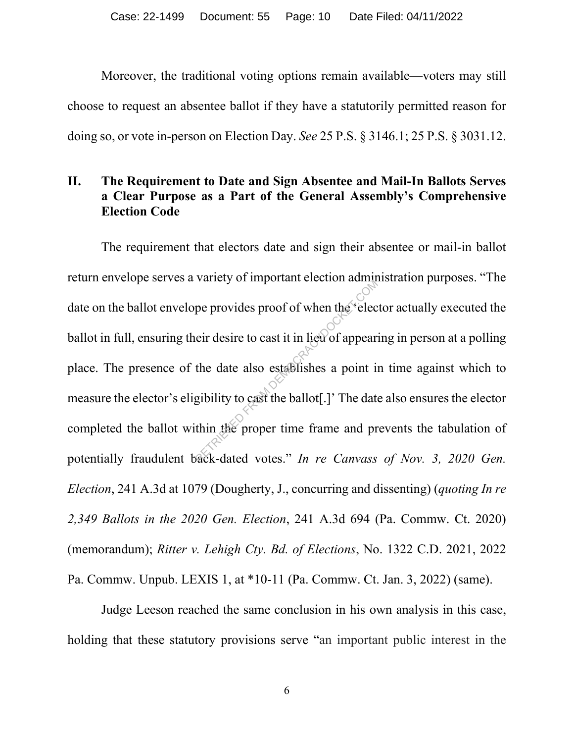Moreover, the traditional voting options remain available—voters may still choose to request an absentee ballot if they have a statutorily permitted reason for doing so, or vote in-person on Election Day. *See* 25 P.S. § 3146.1; 25 P.S. § 3031.12.

# **II. The Requirement to Date and Sign Absentee and Mail-In Ballots Serves a Clear Purpose as a Part of the General Assembly's Comprehensive Election Code**

The requirement that electors date and sign their absentee or mail-in ballot return envelope serves a variety of important election administration purposes. "The date on the ballot envelope provides proof of when the 'elector actually executed the ballot in full, ensuring their desire to cast it in lieu of appearing in person at a polling place. The presence of the date also establishes a point in time against which to measure the elector's eligibility to cast the ballot[.]' The date also ensures the elector completed the ballot within the proper time frame and prevents the tabulation of potentially fraudulent back-dated votes." *In re Canvass of Nov. 3, 2020 Gen. Election*, 241 A.3d at 1079 (Dougherty, J., concurring and dissenting) (*quoting In re 2,349 Ballots in the 2020 Gen. Election*, 241 A.3d 694 (Pa. Commw. Ct. 2020) (memorandum); *Ritter v. Lehigh Cty. Bd. of Elections*, No. 1322 C.D. 2021, 2022 Pa. Commw. Unpub. LEXIS 1, at \*10-11 (Pa. Commw. Ct. Jan. 3, 2022) (same). pe provides proof of when the electric damp<br>pe provides proof of when the electric eir desire to cast it in lieu of appear<br>the date also establishes a point is<br>gibility to cast the ballot[.] The date<br>thin the proper time f

Judge Leeson reached the same conclusion in his own analysis in this case, holding that these statutory provisions serve "an important public interest in the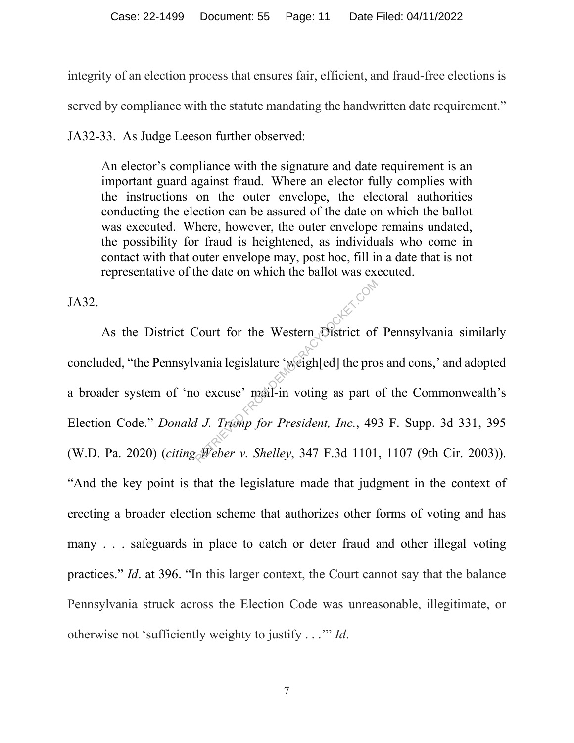integrity of an election process that ensures fair, efficient, and fraud-free elections is

served by compliance with the statute mandating the handwritten date requirement."

JA32-33. As Judge Leeson further observed:

An elector's compliance with the signature and date requirement is an important guard against fraud. Where an elector fully complies with the instructions on the outer envelope, the electoral authorities conducting the election can be assured of the date on which the ballot was executed. Where, however, the outer envelope remains undated, the possibility for fraud is heightened, as individuals who come in contact with that outer envelope may, post hoc, fill in a date that is not representative of the date on which the ballot was executed.

JA32.

As the District Court for the Western District of Pennsylvania similarly concluded, "the Pennsylvania legislature 'weigh[ed] the pros and cons,' and adopted a broader system of 'no excuse' mail-in voting as part of the Commonwealth's Election Code." *Donald J. Trump for President, Inc.*, 493 F. Supp. 3d 331, 395 (W.D. Pa. 2020) (*citing Weber v. Shelley*, 347 F.3d 1101, 1107 (9th Cir. 2003)). "And the key point is that the legislature made that judgment in the context of erecting a broader election scheme that authorizes other forms of voting and has many . . . safeguards in place to catch or deter fraud and other illegal voting practices." *Id*. at 396. "In this larger context, the Court cannot say that the balance Pennsylvania struck across the Election Code was unreasonable, illegitimate, or otherwise not 'sufficiently weighty to justify . . .'" *Id*. Court for the Western District of<br>vania legislature 'weigh[ed] the pro<br>o excuse' mail-in voting as part of<br>*d J. Trump for President, Inc.*, 49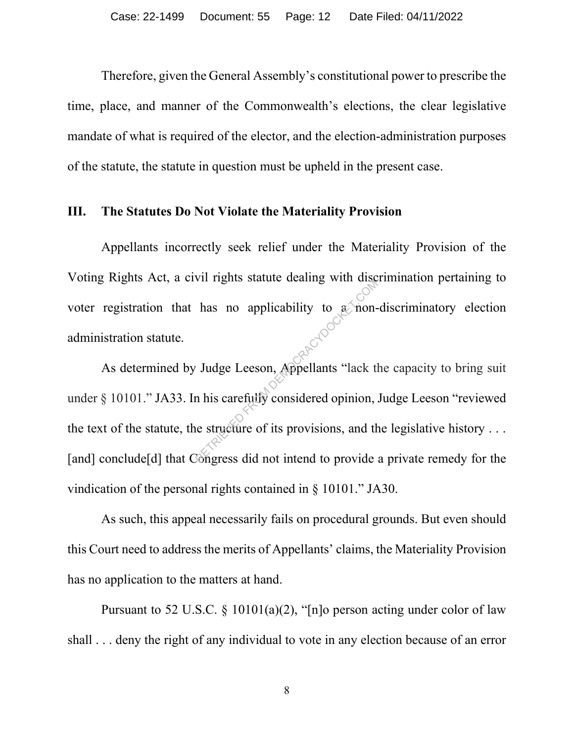Therefore, given the General Assembly's constitutional power to prescribe the time, place, and manner of the Commonwealth's elections, the clear legislative mandate of what is required of the elector, and the election-administration purposes of the statute, the statute in question must be upheld in the present case.

#### **III. The Statutes Do Not Violate the Materiality Provision**

Appellants incorrectly seek relief under the Materiality Provision of the Voting Rights Act, a civil rights statute dealing with discrimination pertaining to voter registration that has no applicability to a non-discriminatory election administration statute.

As determined by Judge Leeson, Appellants "lack the capacity to bring suit under § 10101." JA33. In his carefully considered opinion, Judge Leeson "reviewed the text of the statute, the structure of its provisions, and the legislative history  $\dots$ [and] conclude<sup>[d]</sup> that Congress did not intend to provide a private remedy for the vindication of the personal rights contained in § 10101." JA30. The statute dealing with disease.<br>
In this carefully considered opinion,<br>
RETRIEVED FROM DEMOCRACY COMPOSED.<br>
This carefully considered opinion,<br>
The structure of its provisions, and the structure of its provisions, and th

As such, this appeal necessarily fails on procedural grounds. But even should this Court need to address the merits of Appellants' claims, the Materiality Provision has no application to the matters at hand.

Pursuant to 52 U.S.C. § 10101(a)(2), "[n]o person acting under color of law shall . . . deny the right of any individual to vote in any election because of an error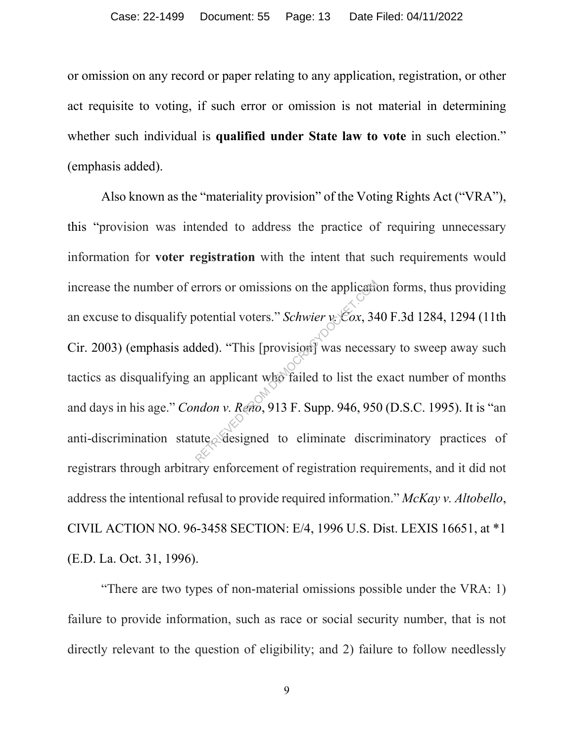or omission on any record or paper relating to any application, registration, or other act requisite to voting, if such error or omission is not material in determining whether such individual is qualified under State law to vote in such election." (emphasis added).

Also known as the "materiality provision" of the Voting Rights Act ("VRA"), this "provision was intended to address the practice of requiring unnecessary information for **voter registration** with the intent that such requirements would increase the number of errors or omissions on the application forms, thus providing an excuse to disqualify potential voters." *Schwier v. Cox*, 340 F.3d 1284, 1294 (11th Cir. 2003) (emphasis added). "This [provision] was necessary to sweep away such tactics as disqualifying an applicant who failed to list the exact number of months and days in his age." *Condon v. Reno*, 913 F. Supp. 946, 950 (D.S.C. 1995). It is "an anti-discrimination statute. designed to eliminate discriminatory practices of registrars through arbitrary enforcement of registration requirements, and it did not address the intentional refusal to provide required information." *McKay v. Altobello*, CIVIL ACTION NO. 96-3458 SECTION: E/4, 1996 U.S. Dist. LEXIS 16651, at \*1 (E.D. La. Oct. 31, 1996). Priori or omissions on the application<br>
sotential voters." *Schwier*  $v_c$  Cox, 34<br>
ded). "This [provision] was necess<br>
an applicant who failed to list the<br>
mdon v. Reno, 913 F. Supp. 946, 95<br>
ute Sesigned to eliminate dis

"There are two types of non-material omissions possible under the VRA: 1) failure to provide information, such as race or social security number, that is not directly relevant to the question of eligibility; and 2) failure to follow needlessly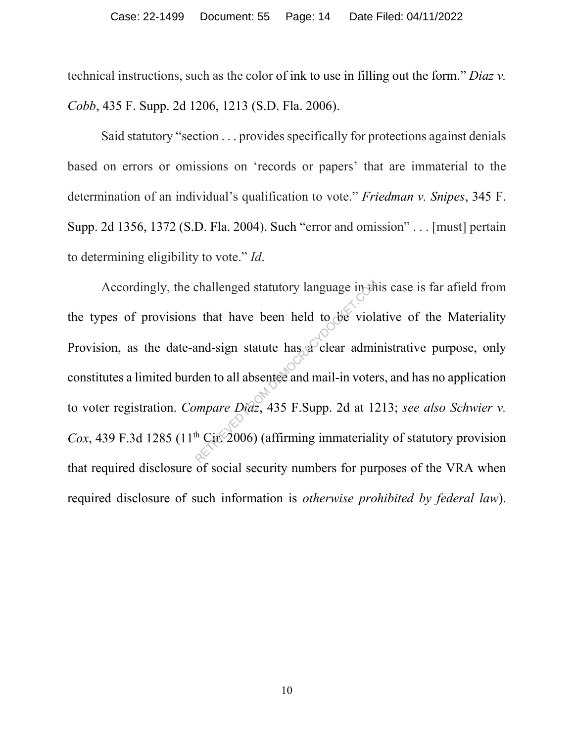technical instructions, such as the color of ink to use in filling out the form." *Diaz v. Cobb*, 435 F. Supp. 2d 1206, 1213 (S.D. Fla. 2006).

Said statutory "section . . . provides specifically for protections against denials based on errors or omissions on 'records or papers' that are immaterial to the determination of an individual's qualification to vote." *Friedman v. Snipes*, 345 F. Supp. 2d 1356, 1372 (S.D. Fla. 2004). Such "error and omission" . . . [must] pertain to determining eligibility to vote." *Id*.

Accordingly, the challenged statutory language in this case is far afield from the types of provisions that have been held to be violative of the Materiality Provision, as the date-and-sign statute has a clear administrative purpose, only constitutes a limited burden to all absentee and mail-in voters, and has no application to voter registration. *Compare Diaz*, 435 F.Supp. 2d at 1213; *see also Schwier v. Cox*, 439 F.3d 1285 (11<sup>th</sup> Cir. 2006) (affirming immateriality of statutory provision that required disclosure of social security numbers for purposes of the VRA when required disclosure of such information is *otherwise prohibited by federal law*). challenged statutory language in the statute that have been held to deviate<br>and-sign statute has a clear admit<br>den to all absentee and mail-in voter<br>ompare Diaz, 435 F.Supp. 2d at 12<br> $\frac{1}{2}$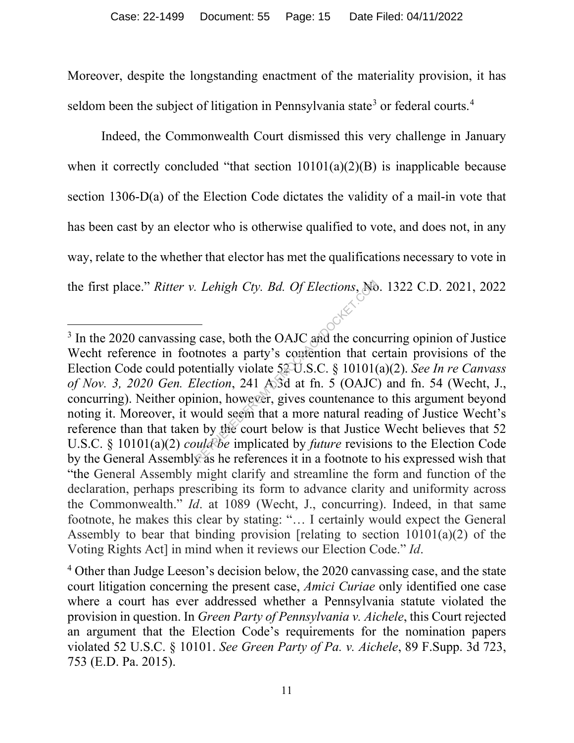Moreover, despite the longstanding enactment of the materiality provision, it has seldom been the subject of litigation in Pennsylvania state<sup>3</sup> or federal courts.<sup>4</sup>

Indeed, the Commonwealth Court dismissed this very challenge in January when it correctly concluded "that section  $10101(a)(2)(B)$  is inapplicable because section 1306-D(a) of the Election Code dictates the validity of a mail-in vote that has been cast by an elector who is otherwise qualified to vote, and does not, in any way, relate to the whether that elector has met the qualifications necessary to vote in the first place." *Ritter v. Lehigh Cty. Bd. Of Elections*, No. 1322 C.D. 2021, 2022

<sup>&</sup>lt;sup>3</sup> In the 2020 canvassing case, both the OAJC and the concurring opinion of Justice Wecht reference in footnotes a party's contention that certain provisions of the Election Code could potentially violate 52 U.S.C. § 10101(a)(2). *See In re Canvass of Nov. 3, 2020 Gen. Election*, 241 A.3d at fn. 5 (OAJC) and fn. 54 (Wecht, J., concurring). Neither opinion, however, gives countenance to this argument beyond noting it. Moreover, it would seem that a more natural reading of Justice Wecht's reference than that taken by the court below is that Justice Wecht believes that 52 U.S.C. § 10101(a)(2) *could be* implicated by *future* revisions to the Election Code by the General Assembly as he references it in a footnote to his expressed wish that "the General Assembly might clarify and streamline the form and function of the declaration, perhaps prescribing its form to advance clarity and uniformity across the Commonwealth." *Id*. at 1089 (Wecht, J., concurring). Indeed, in that same footnote, he makes this clear by stating: "… I certainly would expect the General Assembly to bear that binding provision [relating to section 10101(a)(2) of the Voting Rights Act] in mind when it reviews our Election Code." *Id*. Lehigh Cty. Bd. Of Elections, No.<br>  $\begin{array}{l}\n\hline\n\vdots\n\end{array}$  case, both the OAJC and the concentrations a party's contention that c<br>
entially violate 52 U.S.C. § 10101(<br>
lection, 241 ASd at fn. 5 (OAJC)<br>
mion, however, giv

<sup>&</sup>lt;sup>4</sup> Other than Judge Leeson's decision below, the 2020 canvassing case, and the state court litigation concerning the present case, *Amici Curiae* only identified one case where a court has ever addressed whether a Pennsylvania statute violated the provision in question. In *Green Party of Pennsylvania v. Aichele*, this Court rejected an argument that the Election Code's requirements for the nomination papers violated 52 U.S.C. § 10101. *See Green Party of Pa. v. Aichele*, 89 F.Supp. 3d 723, 753 (E.D. Pa. 2015).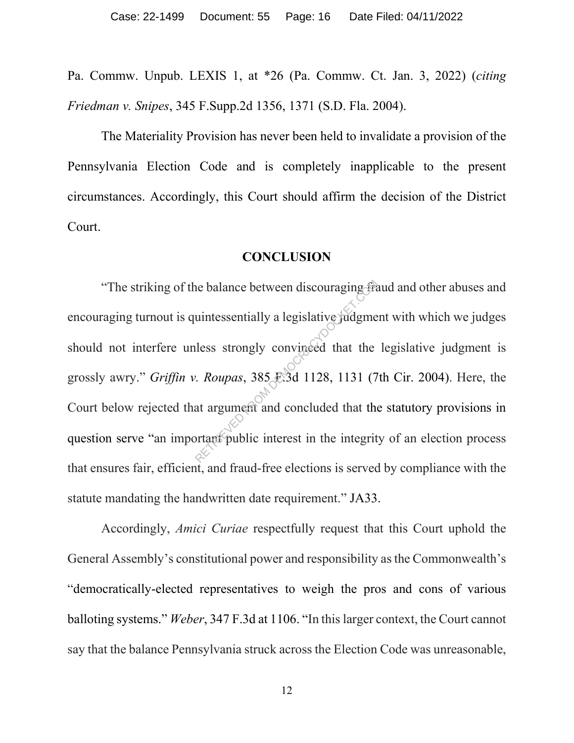Pa. Commw. Unpub. LEXIS 1, at \*26 (Pa. Commw. Ct. Jan. 3, 2022) (*citing Friedman v. Snipes*, 345 F.Supp.2d 1356, 1371 (S.D. Fla. 2004).

The Materiality Provision has never been held to invalidate a provision of the Pennsylvania Election Code and is completely inapplicable to the present circumstances. Accordingly, this Court should affirm the decision of the District Court.

### **CONCLUSION**

"The striking of the balance between discouraging fraud and other abuses and encouraging turnout is quintessentially a legislative judgment with which we judges should not interfere unless strongly convinced that the legislative judgment is grossly awry." *Griffin v. Roupas*, 385 F.3d 1128, 1131 (7th Cir. 2004). Here, the Court below rejected that argument and concluded that the statutory provisions in question serve "an important public interest in the integrity of an election process that ensures fair, efficient, and fraud-free elections is served by compliance with the statute mandating the handwritten date requirement." JA33. The balance between discouraging from discouraging from discouraging from discouraging the units strongly convinced that the extends that argument and concluded that the units of public interest in the integrit

Accordingly, *Amici Curiae* respectfully request that this Court uphold the General Assembly's constitutional power and responsibility as the Commonwealth's "democratically-elected representatives to weigh the pros and cons of various balloting systems." *Weber*, 347 F.3d at 1106. "In this larger context, the Court cannot say that the balance Pennsylvania struck across the Election Code was unreasonable,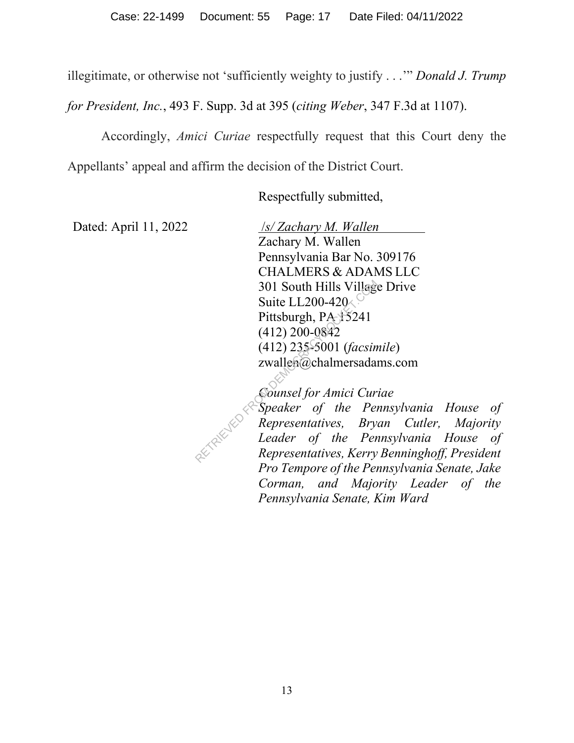illegitimate, or otherwise not 'sufficiently weighty to justify . . .'" *Donald J. Trump* 

*for President, Inc.*, 493 F. Supp. 3d at 395 (*citing Weber*, 347 F.3d at 1107).

Accordingly, *Amici Curiae* respectfully request that this Court deny the

Appellants' appeal and affirm the decision of the District Court.

Respectfully submitted,

Dated: April 11, 2022

 /*s/ Zachary M. Wallen*  Zachary M. Wallen Pennsylvania Bar No. 309176 CHALMERS & ADAMS LLC 301 South Hills Village Drive Suite LL200-420 $\sim$ Pittsburgh, PA 15241 (412) 200-0842 (412) 235-5001 (*facsimile*) zwallen@chalmersadams.com 301 South Hills Village<br>
Suite LL200-420<br>
Pittsburgh, PA-15241<br>
(412) 200-0842<br>
(412) 235-5001 (*facsin*<br>
zwallen@chalmersadai<br> *Counsel for Amici Cur*<br> *Speaker of the Pei*<br> *Representatives, Bry Leader of the Per*<br> *Rep* 

*Counsel for Amici Curiae*

*Speaker of the Pennsylvania House of Representatives, Bryan Cutler, Majority Leader of the Pennsylvania House of Representatives, Kerry Benninghoff, President Pro Tempore of the Pennsylvania Senate, Jake Corman, and Majority Leader of the Pennsylvania Senate, Kim Ward*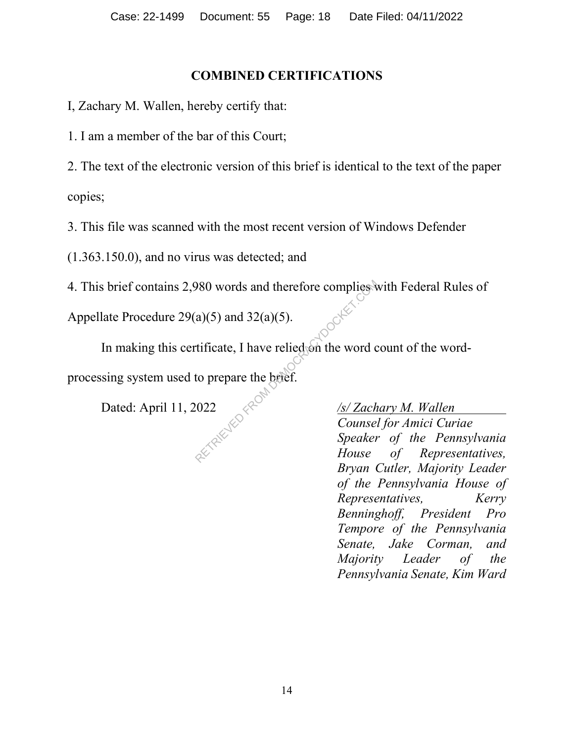## **COMBINED CERTIFICATIONS**

I, Zachary M. Wallen, hereby certify that:

1. I am a member of the bar of this Court;

2. The text of the electronic version of this brief is identical to the text of the paper copies;

3. This file was scanned with the most recent version of Windows Defender

(1.363.150.0), and no virus was detected; and

4. This brief contains 2,980 words and therefore complies with Federal Rules of

Appellate Procedure  $29(a)(5)$  and  $32(a)(5)$ .

In making this certificate, I have relied on the word count of the wordprocessing system used to prepare the brief. 980 words and therefore complies<br>
(a)(5) and 32(a)(5).<br>
tificate, I have relied on the word corresponding to prepare the brief.<br>
(022  $\frac{\sqrt{s/ Zach}}{Counse}$ <br>
Speaker House

Dated: April 11, 2022 */s/ Zachary M. Wallen Counsel for Amici Curiae Speaker of the Pennsylvania House of Representatives, Bryan Cutler, Majority Leader of the Pennsylvania House of Representatives, Kerry Benninghoff, President Pro Tempore of the Pennsylvania Senate, Jake Corman, and Majority Leader of the Pennsylvania Senate, Kim Ward*